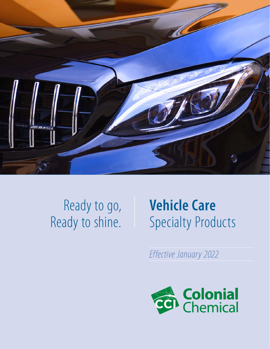

## Ready to go, Ready to shine.

# **Vehicle Care** Specialty Products

*Effective January 2022*

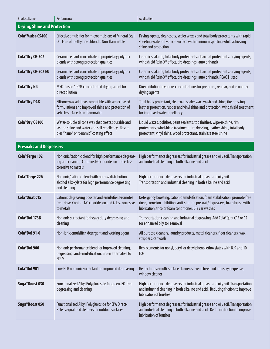| <b>Product Name</b>                 | Performance                                                                                                                                           | Application                                                                                                                                                                                                                 |
|-------------------------------------|-------------------------------------------------------------------------------------------------------------------------------------------------------|-----------------------------------------------------------------------------------------------------------------------------------------------------------------------------------------------------------------------------|
| <b>Drying, Shine and Protection</b> |                                                                                                                                                       |                                                                                                                                                                                                                             |
| Cola <sup>®</sup> Mulse CS400       | <b>Effective emulsifier for microemulsions of Mineral Seal</b><br>Oil. Free of methylene chloride. Non-flammable                                      | Drying agents, clear coats, sealer waxes and total body protectants with rapid<br>sheeting water off vehicle surface with minimum spotting while achieving<br>shine and protection                                          |
| Cola <sup>®</sup> Dry CR-502        | Ceramic sealant concentrate of proprietary polymer<br>blends with strong protection qualities                                                         | Ceramic sealants, total body protectants, clearcoat protectants, drying agents,<br>windshield Rain-X® effect, tire dressings (auto or hand)                                                                                 |
| Cola <sup>®</sup> Dry CR-502 EU     | Ceramic sealant concentrate of proprietary polymer<br>blends with strong protection qualities                                                         | Ceramic sealants, total body protectants, clearcoat protectants, drying agents,<br>windshield Rain-X® effect, tire dressings (auto or hand). REACH listed                                                                   |
| <b>Cola</b> <sup>®</sup> Dry N4     | MSO-based 100% concentrated drying agent for<br>direct dilution                                                                                       | Direct dilution to various concentrations for premium, regular, and economy<br>drying agents                                                                                                                                |
| <b>Cola</b> <sup>®</sup> Dry DAB    | Silicone wax additive compatible with water-based<br>formulations and improved shine and protection of<br>vehicle surface. Non-flammable              | Total body protectant, clearcoat, sealer wax, wash and shine, tire dressing,<br>leather protection, rubber and vinyl shine and protection, windshield treatment<br>for improved water repellency                            |
| Cola <sup>®</sup> Dry QS100         | Water-soluble silicone wax that creates durable and<br>lasting shine and water and soil repellency. Resem-<br>bles "nano" or "ceramic" coating effect | Liquid waxes, polishes, paint sealants, top finishes, wipe-n-shine, rim<br>protectants, windshield treatment, tire dressing, leather shine, total body<br>protectant, vinyl shine, wood protectant, stainless steel shine   |
| <b>Presoaks and Degreasers</b>      |                                                                                                                                                       |                                                                                                                                                                                                                             |
| Cola <sup>®</sup> Terge 102         | Nonionic/cationic blend for high performance degreas-<br>ing and cleaning. Contains NO chloride ion and is less<br>corrosive to metals                | High performance degreasers for industrial grease and oily soil. Transportation<br>and industrial cleaning in both alkaline and acid                                                                                        |
| Cola <sup>®</sup> Terge 226         | Nonionic/cationic blend with narrow distribution<br>alcohol alkoxylate for high performance degreasing<br>and cleaning                                | High performance degreasers for industrial grease and oily soil.<br>Transportation and industrial cleaning in both alkaline and acid                                                                                        |
| Cola <sup>®</sup> Quat C15          | Cationic degreasing booster and emulsifier. Promotes<br>free-rinse. Contain NO chloride ion and is less corrosive<br>to metals                        | Detergency boosting, cationic emulsification, foam stabilization, promote free<br>rinse, corrosion inhibition, anti-static in presoak/degreasers, foam brush with<br>lubrication, tricolor foam conditioner, DIY car washes |
| Cola <sup>®</sup> Dol 173B          | Nonionic surfactant for heavy duty degreasing and<br>cleaning                                                                                         | Transportation cleaning and industrial degreasing. Add Cola®Quat C15 or C2<br>for enhanced oily soil removal                                                                                                                |
| Cola <sup>®</sup> Dol 91-6          | Non-ionic emulsifier, detergent and wetting agent                                                                                                     | All purpose cleaners, laundry products, metal cleaners, floor cleaners, wax<br>strippers, car wash                                                                                                                          |
| Cola <sup>®</sup> Dol 900           | Nonionic performance blend for improved cleaning,<br>degreasing, and emulsification. Green alternative to<br>$NP-9$                                   | Replacements for nonyl, octyl, or decyl phenol ethoxylates with 8, 9 and 10<br>E <sub>Os</sub>                                                                                                                              |
| Cola <sup>®</sup> Dol 901           | Low HLB nonionic surfactant for improved degreasing                                                                                                   | Ready-to-use multi-surface cleaner, solvent-free food industry degreaser,<br>window cleaner                                                                                                                                 |
| Suga <sup>®</sup> Boost 030         | Functionalized Alkyl Polyglucoside for green, EO-free<br>degreasing and cleaning                                                                      | High performance degreasers for industrial grease and oily soil. Transportation<br>and industrial cleaning in both alkaline and acid. Reducing friction to improve<br>lubrication of brushes                                |
| Suga <sup>®</sup> Boost 050         | Functionalized Alkyl Polyglucoside for EPA Direct-<br>Release qualified cleaners for outdoor surfaces                                                 | High performance degreasers for industrial grease and oily soil. Transportation<br>and industrial cleaning in both alkaline and acid. Reducing friction to improve<br>lubrication of brushes                                |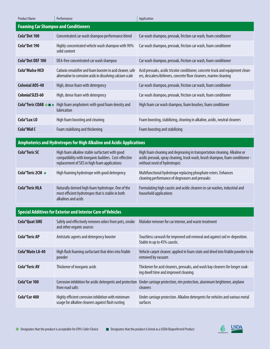| <b>Product Name</b>                                                 | Performance                                                                                                                                             | Application                                                                                                                                                                               |  |  |
|---------------------------------------------------------------------|---------------------------------------------------------------------------------------------------------------------------------------------------------|-------------------------------------------------------------------------------------------------------------------------------------------------------------------------------------------|--|--|
| <b>Foaming Car Shampoo and Conditioners</b>                         |                                                                                                                                                         |                                                                                                                                                                                           |  |  |
| Cola <sup>®</sup> Det 100                                           | Concentrated car wash shampoo performance blend                                                                                                         | Car wash shampoo, presoak, friction car wash, foam conditioner                                                                                                                            |  |  |
| Cola <sup>®</sup> Det 190                                           | Highly concentrated vehicle wash shampoo with 90%<br>solid content                                                                                      | Car wash shampoo, presoak, friction car wash, foam conditioner                                                                                                                            |  |  |
| Cola <sup>®</sup> Det DEF 100                                       | DEA-free concentrated car wash shampoo                                                                                                                  | Car wash shampoo, presoak, friction car wash, foam conditioner                                                                                                                            |  |  |
| Cola <sup>®</sup> Mulse HCO                                         | Cationic emulsifier and foam booster in acid cleaner, safe<br>alternative to corrosive acids in dissolving calcium scale                                | Acid presoaks, acidic tricolor conditioner, concrete truck and equipment clean-<br>ers, descalers/delimers, concrete floor cleaners, marine cleaning                                      |  |  |
| <b>Colonial AOS-40</b>                                              | High, dense foam with detergency                                                                                                                        | Car wash shampoo, presoak, friction car wash, foam conditioner                                                                                                                            |  |  |
| <b>Colonial SLES-60</b>                                             | High, dense foam with detergency                                                                                                                        | Car wash shampoo, presoak, friction car wash, foam conditioner                                                                                                                            |  |  |
| Cola <sup>®</sup> Teric COAB <b>o</b> ■ ★                           | High foam amphoteric with good foam density and<br>lubrication                                                                                          | High foam car wash shampoo, foam brushes, foam conditioner                                                                                                                                |  |  |
| Cola <sup>®</sup> Lux LO                                            | High foam boosting and cleaning                                                                                                                         | Foam boosting, stabilizing, cleaning in alkaline, acidic, neutral cleaners                                                                                                                |  |  |
| Cola <sup>®</sup> Mid C                                             | Foam stabilizing and thickening                                                                                                                         | Foam boosting and stabilizing                                                                                                                                                             |  |  |
|                                                                     | Amphoterics and Hydrotropes for High Alkaline and Acidic Applications                                                                                   |                                                                                                                                                                                           |  |  |
|                                                                     |                                                                                                                                                         |                                                                                                                                                                                           |  |  |
| <b>Cola</b> <sup>®</sup> Teric SC                                   | High foam alkaline stable surfactant with good<br>compatibility with inorganic builders. Cost-effective<br>replacement of SXS in high foam applications | High foam cleaning and degreasing in transportation cleaning. Alkaline or<br>acidic presoak, spray cleaning, truck wash, brush shampoo, foam conditioner -<br>without need of hydrotropes |  |  |
| Cola®Teric 2CM ★                                                    | High foaming hydrotrope with good detergency                                                                                                            | Multifunctional hydrotrope replacing phosphate esters. Enhances<br>cleaning performance of degreasers and presoaks                                                                        |  |  |
| <b>Cola</b> <sup>®</sup> Teric HLA                                  | Naturally derived high foam hydrotrope. One of the<br>most efficient hydrotropes that is stable in both<br>alkalines and acids                          | Formulating high caustic and acidic cleaners in car washes, industrial and<br>household applications                                                                                      |  |  |
| <b>Special Additives for Exterior and Interior Care of Vehicles</b> |                                                                                                                                                         |                                                                                                                                                                                           |  |  |
| <b>Cola<sup>®</sup>Quat SME</b>                                     | Safely and effectively removes odors from pets, smoke<br>and other organic sources                                                                      | Malodor remover for car interior, and waste treatment                                                                                                                                     |  |  |
| <b>Cola</b> <sup>®</sup> Teric AP                                   | Antistatic agents and detergency booster                                                                                                                | Touchless carwash for improved soil removal and against soil re-deposition.<br>Stable in up to 45% caustic.                                                                               |  |  |
| Cola <sup>®</sup> Mate LA-40                                        | High flash foaming surfactant that dries into friable                                                                                                   | Vehicle carpet cleaner; applied in foam state and dried into friable powder to be                                                                                                         |  |  |

| COID MOLE LA-40                   | <b>Figure 19 Service Surfaceure to a little student in the United Students</b><br>powder                | <u>verlicle carpet cleafier, applied in Ioani state and dried into mable powder to b</u><br>removed by vacuum         |
|-----------------------------------|---------------------------------------------------------------------------------------------------------|-----------------------------------------------------------------------------------------------------------------------|
| <b>Cola</b> <sup>®</sup> Teric AV | Thickener of inorganic acids                                                                            | Thickener for acid cleaners, presoaks, and wash bay cleaners for longer soak-<br>ing dwell time and improved cleaning |
| Cola <sup>®</sup> Cor 100         | Corrosion inhibition for acidic detergents and protection<br>from road salts                            | Under carriage protection, rim protection, aluminum brightener, airplane<br><b>cleaners</b>                           |
| Cola <sup>®</sup> Cor 400         | Highly efficient corrosion inhibition with minimum<br>usage for alkaline cleaners against flash rusting | Under carriage protection. Alkaline detergents for vehicles and various metal<br>surfaces                             |